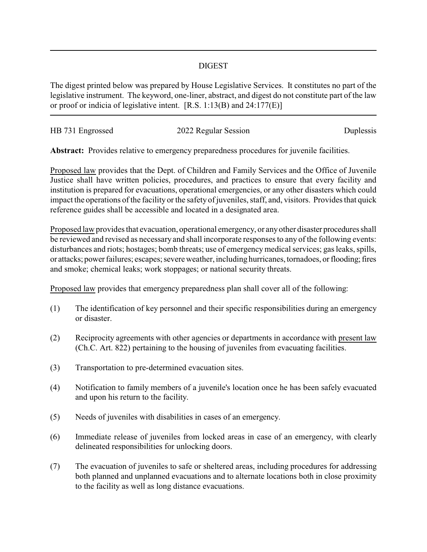## DIGEST

The digest printed below was prepared by House Legislative Services. It constitutes no part of the legislative instrument. The keyword, one-liner, abstract, and digest do not constitute part of the law or proof or indicia of legislative intent. [R.S. 1:13(B) and 24:177(E)]

| HB 731 Engrossed | 2022 Regular Session | Duplessis |
|------------------|----------------------|-----------|

**Abstract:** Provides relative to emergency preparedness procedures for juvenile facilities.

Proposed law provides that the Dept. of Children and Family Services and the Office of Juvenile Justice shall have written policies, procedures, and practices to ensure that every facility and institution is prepared for evacuations, operational emergencies, or any other disasters which could impact the operations of the facility or the safety of juveniles, staff, and, visitors. Provides that quick reference guides shall be accessible and located in a designated area.

Proposed law provides that evacuation, operational emergency, or anyother disaster procedures shall be reviewed and revised as necessary and shall incorporate responses to any of the following events: disturbances and riots; hostages; bomb threats; use of emergency medical services; gas leaks, spills, or attacks; power failures; escapes; severe weather, including hurricanes, tornadoes, or flooding; fires and smoke; chemical leaks; work stoppages; or national security threats.

Proposed law provides that emergency preparedness plan shall cover all of the following:

- (1) The identification of key personnel and their specific responsibilities during an emergency or disaster.
- (2) Reciprocity agreements with other agencies or departments in accordance with present law (Ch.C. Art. 822) pertaining to the housing of juveniles from evacuating facilities.
- (3) Transportation to pre-determined evacuation sites.
- (4) Notification to family members of a juvenile's location once he has been safely evacuated and upon his return to the facility.
- (5) Needs of juveniles with disabilities in cases of an emergency.
- (6) Immediate release of juveniles from locked areas in case of an emergency, with clearly delineated responsibilities for unlocking doors.
- (7) The evacuation of juveniles to safe or sheltered areas, including procedures for addressing both planned and unplanned evacuations and to alternate locations both in close proximity to the facility as well as long distance evacuations.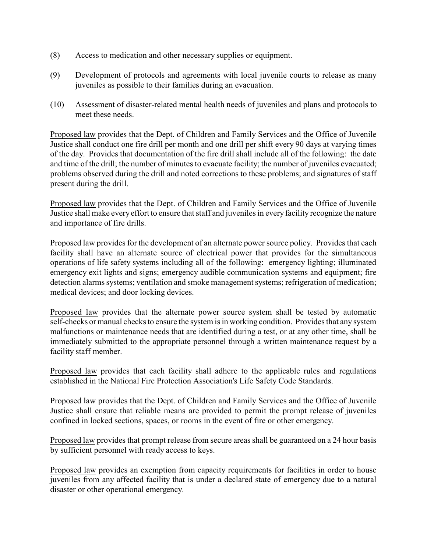- (8) Access to medication and other necessary supplies or equipment.
- (9) Development of protocols and agreements with local juvenile courts to release as many juveniles as possible to their families during an evacuation.
- (10) Assessment of disaster-related mental health needs of juveniles and plans and protocols to meet these needs.

Proposed law provides that the Dept. of Children and Family Services and the Office of Juvenile Justice shall conduct one fire drill per month and one drill per shift every 90 days at varying times of the day. Provides that documentation of the fire drill shall include all of the following: the date and time of the drill; the number of minutes to evacuate facility; the number of juveniles evacuated; problems observed during the drill and noted corrections to these problems; and signatures of staff present during the drill.

Proposed law provides that the Dept. of Children and Family Services and the Office of Juvenile Justice shall make every effort to ensure that staff and juveniles in every facility recognize the nature and importance of fire drills.

Proposed law provides for the development of an alternate power source policy. Provides that each facility shall have an alternate source of electrical power that provides for the simultaneous operations of life safety systems including all of the following: emergency lighting; illuminated emergency exit lights and signs; emergency audible communication systems and equipment; fire detection alarms systems; ventilation and smoke management systems; refrigeration of medication; medical devices; and door locking devices.

Proposed law provides that the alternate power source system shall be tested by automatic self-checks or manual checks to ensure the system is in working condition. Provides that any system malfunctions or maintenance needs that are identified during a test, or at any other time, shall be immediately submitted to the appropriate personnel through a written maintenance request by a facility staff member.

Proposed law provides that each facility shall adhere to the applicable rules and regulations established in the National Fire Protection Association's Life Safety Code Standards.

Proposed law provides that the Dept. of Children and Family Services and the Office of Juvenile Justice shall ensure that reliable means are provided to permit the prompt release of juveniles confined in locked sections, spaces, or rooms in the event of fire or other emergency.

Proposed law provides that prompt release from secure areas shall be guaranteed on a 24 hour basis by sufficient personnel with ready access to keys.

Proposed law provides an exemption from capacity requirements for facilities in order to house juveniles from any affected facility that is under a declared state of emergency due to a natural disaster or other operational emergency.